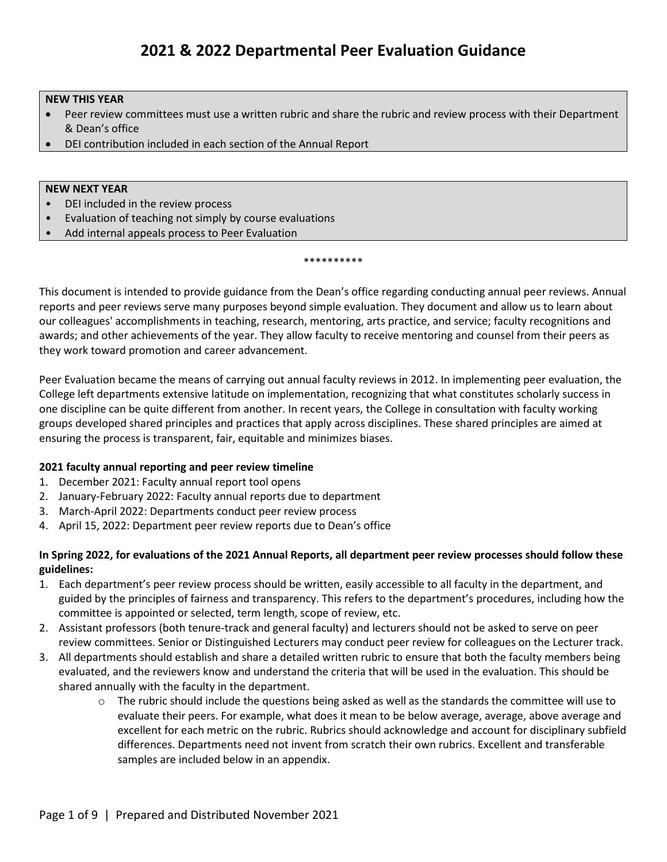#### **NEW THIS YEAR**

- Peer review committees must use a written rubric and share the rubric and review process with their Department & Dean's office
- DEI contribution included in each section of the Annual Report

#### **NEW NEXT YEAR**

- DEI included in the review process
- Evaluation of teaching not simply by course evaluations
- Add internal appeals process to Peer Evaluation

#### \*\*\*\*\*\*\*\*\*\*

This document is intended to provide guidance from the Dean's office regarding conducting annual peer reviews. Annual reports and peer reviews serve many purposes beyond simple evaluation. They document and allow us to learn about our colleagues' accomplishments in teaching, research, mentoring, arts practice, and service; faculty recognitions and awards; and other achievements of the year. They allow faculty to receive mentoring and counsel from their peers as they work toward promotion and career advancement.

Peer Evaluation became the means of carrying out annual faculty reviews in 2012. In implementing peer evaluation, the College left departments extensive latitude on implementation, recognizing that what constitutes scholarly success in one discipline can be quite different from another. In recent years, the College in consultation with faculty working groups developed shared principles and practices that apply across disciplines. These shared principles are aimed at ensuring the process is transparent, fair, equitable and minimizes biases.

#### **2021 faculty annual reporting and peer review timeline**

- 1. December 2021: Faculty annual report tool opens
- 2. January-February 2022: Faculty annual reports due to department
- 3. March-April 2022: Departments conduct peer review process
- 4. April 15, 2022: Department peer review reports due to Dean's office

#### **In Spring 2022, for evaluations of the 2021 Annual Reports, all department peer review processes should follow these guidelines:**

- 1. Each department's peer review process should be written, easily accessible to all faculty in the department, and guided by the principles of fairness and transparency. This refers to the department's procedures, including how the committee is appointed or selected, term length, scope of review, etc.
- 2. Assistant professors (both tenure-track and general faculty) and lecturers should not be asked to serve on peer review committees. Senior or Distinguished Lecturers may conduct peer review for colleagues on the Lecturer track.
- 3. All departments should establish and share a detailed written rubric to ensure that both the faculty members being evaluated, and the reviewers know and understand the criteria that will be used in the evaluation. This should be shared annually with the faculty in the department.
	- $\circ$  The rubric should include the questions being asked as well as the standards the committee will use to evaluate their peers. For example, what does it mean to be below average, average, above average and excellent for each metric on the rubric. Rubrics should acknowledge and account for disciplinary subfield differences. Departments need not invent from scratch their own rubrics. Excellent and transferable samples are included below in an appendix.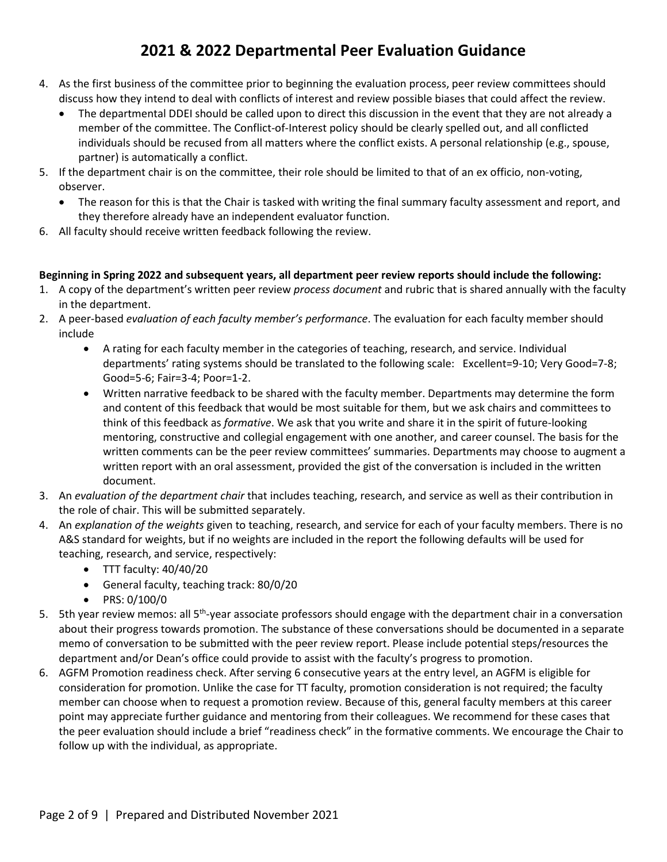- 4. As the first business of the committee prior to beginning the evaluation process, peer review committees should discuss how they intend to deal with conflicts of interest and review possible biases that could affect the review.
	- The departmental DDEI should be called upon to direct this discussion in the event that they are not already a member of the committee. The Conflict-of-Interest policy should be clearly spelled out, and all conflicted individuals should be recused from all matters where the conflict exists. A personal relationship (e.g., spouse, partner) is automatically a conflict.
- 5. If the department chair is on the committee, their role should be limited to that of an ex officio, non-voting, observer.
	- The reason for this is that the Chair is tasked with writing the final summary faculty assessment and report, and they therefore already have an independent evaluator function.
- 6. All faculty should receive written feedback following the review.

#### **Beginning in Spring 2022 and subsequent years, all department peer review reports should include the following:**

- 1. A copy of the department's written peer review *process document* and rubric that is shared annually with the faculty in the department.
- 2. A peer-based *evaluation of each faculty member's performance*. The evaluation for each faculty member should include
	- A rating for each faculty member in the categories of teaching, research, and service. Individual departments' rating systems should be translated to the following scale: Excellent=9-10; Very Good=7-8; Good=5-6; Fair=3-4; Poor=1-2.
	- Written narrative feedback to be shared with the faculty member. Departments may determine the form and content of this feedback that would be most suitable for them, but we ask chairs and committees to think of this feedback as *formative*. We ask that you write and share it in the spirit of future-looking mentoring, constructive and collegial engagement with one another, and career counsel. The basis for the written comments can be the peer review committees' summaries. Departments may choose to augment a written report with an oral assessment, provided the gist of the conversation is included in the written document.
- 3. An *evaluation of the department chair* that includes teaching, research, and service as well as their contribution in the role of chair. This will be submitted separately.
- 4. An *explanation of the weights* given to teaching, research, and service for each of your faculty members. There is no A&S standard for weights, but if no weights are included in the report the following defaults will be used for teaching, research, and service, respectively:
	- TTT faculty: 40/40/20
	- General faculty, teaching track: 80/0/20
	- PRS: 0/100/0
- 5. 5th year review memos: all 5<sup>th</sup>-year associate professors should engage with the department chair in a conversation about their progress towards promotion. The substance of these conversations should be documented in a separate memo of conversation to be submitted with the peer review report. Please include potential steps/resources the department and/or Dean's office could provide to assist with the faculty's progress to promotion.
- 6. AGFM Promotion readiness check. After serving 6 consecutive years at the entry level, an AGFM is eligible for consideration for promotion. Unlike the case for TT faculty, promotion consideration is not required; the faculty member can choose when to request a promotion review. Because of this, general faculty members at this career point may appreciate further guidance and mentoring from their colleagues. We recommend for these cases that the peer evaluation should include a brief "readiness check" in the formative comments. We encourage the Chair to follow up with the individual, as appropriate.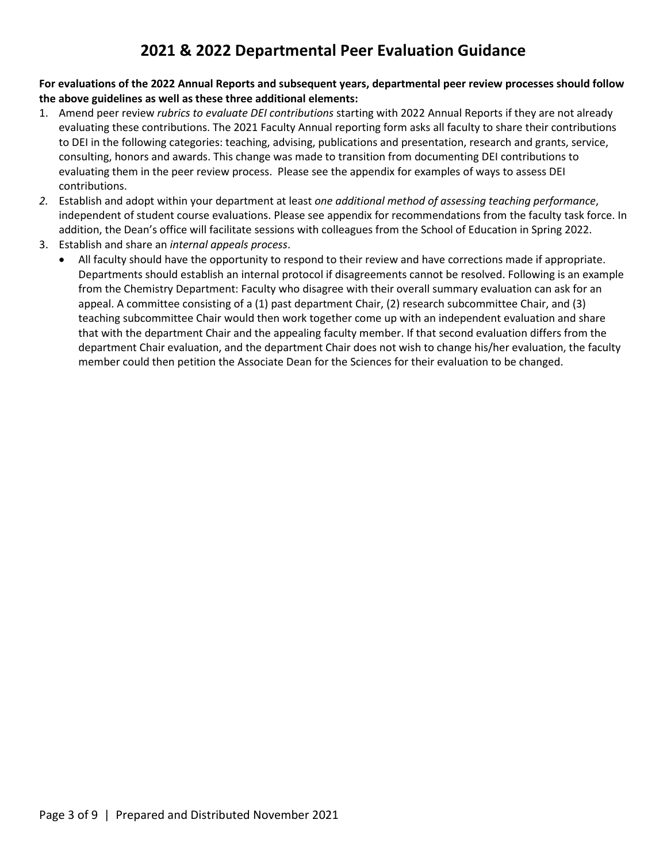**For evaluations of the 2022 Annual Reports and subsequent years, departmental peer review processes should follow the above guidelines as well as these three additional elements:**

- 1. Amend peer review *rubrics to evaluate DEI contributions* starting with 2022 Annual Reports if they are not already evaluating these contributions. The 2021 Faculty Annual reporting form asks all faculty to share their contributions to DEI in the following categories: teaching, advising, publications and presentation, research and grants, service, consulting, honors and awards. This change was made to transition from documenting DEI contributions to evaluating them in the peer review process. Please see the appendix for examples of ways to assess DEI contributions.
- *2.* Establish and adopt within your department at least *one additional method of assessing teaching performance*, independent of student course evaluations. Please see appendix for recommendations from the faculty task force. In addition, the Dean's office will facilitate sessions with colleagues from the School of Education in Spring 2022.
- 3. Establish and share an *internal appeals process*.
	- All faculty should have the opportunity to respond to their review and have corrections made if appropriate. Departments should establish an internal protocol if disagreements cannot be resolved. Following is an example from the Chemistry Department: Faculty who disagree with their overall summary evaluation can ask for an appeal. A committee consisting of a (1) past department Chair, (2) research subcommittee Chair, and (3) teaching subcommittee Chair would then work together come up with an independent evaluation and share that with the department Chair and the appealing faculty member. If that second evaluation differs from the department Chair evaluation, and the department Chair does not wish to change his/her evaluation, the faculty member could then petition the Associate Dean for the Sciences for their evaluation to be changed.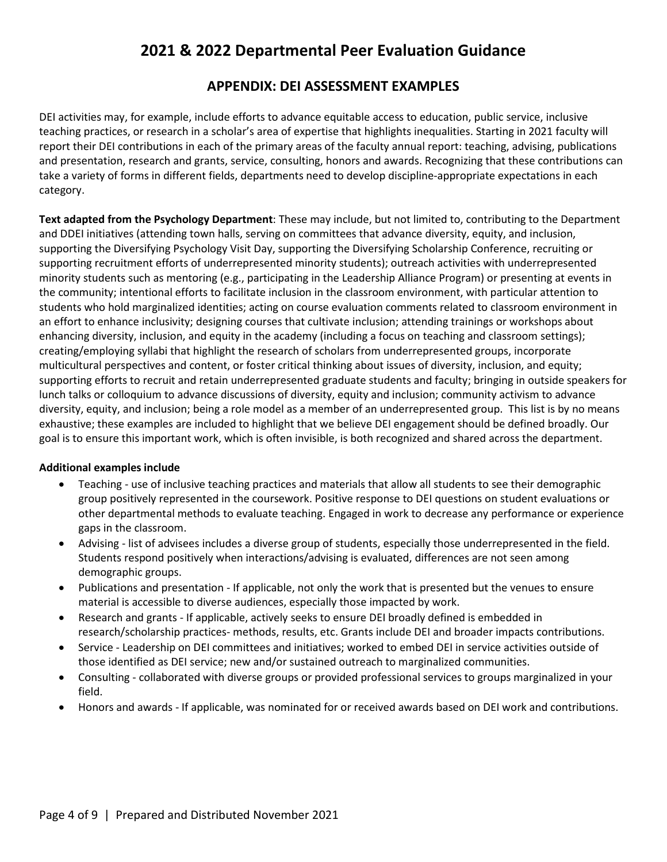### **APPENDIX: DEI ASSESSMENT EXAMPLES**

DEI activities may, for example, include efforts to advance equitable access to education, public service, inclusive teaching practices, or research in a scholar's area of expertise that highlights inequalities. Starting in 2021 faculty will report their DEI contributions in each of the primary areas of the faculty annual report: teaching, advising, publications and presentation, research and grants, service, consulting, honors and awards. Recognizing that these contributions can take a variety of forms in different fields, departments need to develop discipline-appropriate expectations in each category.

**Text adapted from the Psychology Department**: These may include, but not limited to, contributing to the Department and DDEI initiatives (attending town halls, serving on committees that advance diversity, equity, and inclusion, supporting the Diversifying Psychology Visit Day, supporting the Diversifying Scholarship Conference, recruiting or supporting recruitment efforts of underrepresented minority students); outreach activities with underrepresented minority students such as mentoring (e.g., participating in the Leadership Alliance Program) or presenting at events in the community; intentional efforts to facilitate inclusion in the classroom environment, with particular attention to students who hold marginalized identities; acting on course evaluation comments related to classroom environment in an effort to enhance inclusivity; designing courses that cultivate inclusion; attending trainings or workshops about enhancing diversity, inclusion, and equity in the academy (including a focus on teaching and classroom settings); creating/employing syllabi that highlight the research of scholars from underrepresented groups, incorporate multicultural perspectives and content, or foster critical thinking about issues of diversity, inclusion, and equity; supporting efforts to recruit and retain underrepresented graduate students and faculty; bringing in outside speakers for lunch talks or colloquium to advance discussions of diversity, equity and inclusion; community activism to advance diversity, equity, and inclusion; being a role model as a member of an underrepresented group. This list is by no means exhaustive; these examples are included to highlight that we believe DEI engagement should be defined broadly. Our goal is to ensure this important work, which is often invisible, is both recognized and shared across the department.

#### **Additional examples include**

- Teaching use of inclusive teaching practices and materials that allow all students to see their demographic group positively represented in the coursework. Positive response to DEI questions on student evaluations or other departmental methods to evaluate teaching. Engaged in work to decrease any performance or experience gaps in the classroom.
- Advising list of advisees includes a diverse group of students, especially those underrepresented in the field. Students respond positively when interactions/advising is evaluated, differences are not seen among demographic groups.
- Publications and presentation If applicable, not only the work that is presented but the venues to ensure material is accessible to diverse audiences, especially those impacted by work.
- Research and grants If applicable, actively seeks to ensure DEI broadly defined is embedded in research/scholarship practices- methods, results, etc. Grants include DEI and broader impacts contributions.
- Service Leadership on DEI committees and initiatives; worked to embed DEI in service activities outside of those identified as DEI service; new and/or sustained outreach to marginalized communities.
- Consulting collaborated with diverse groups or provided professional services to groups marginalized in your field.
- Honors and awards If applicable, was nominated for or received awards based on DEI work and contributions.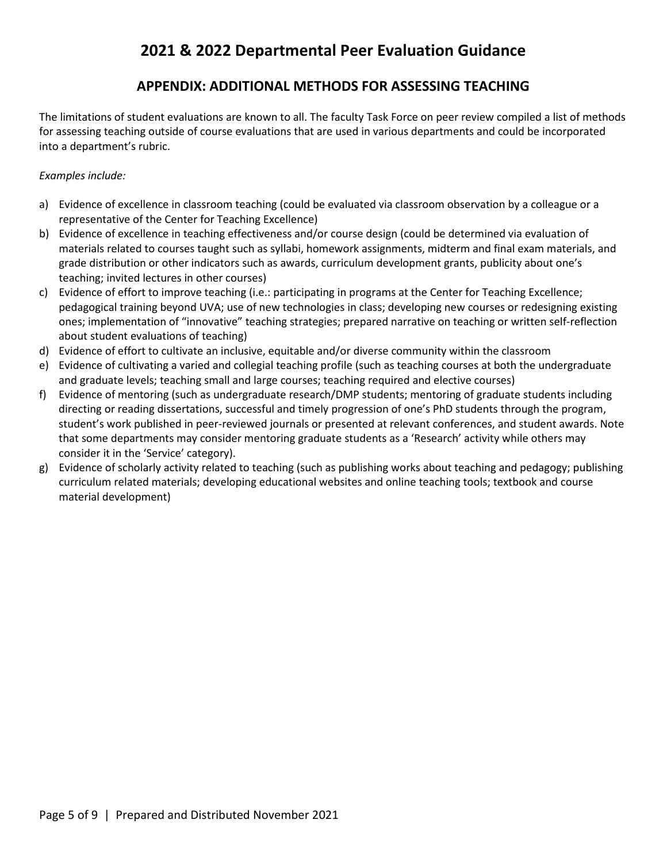### **APPENDIX: ADDITIONAL METHODS FOR ASSESSING TEACHING**

The limitations of student evaluations are known to all. The faculty Task Force on peer review compiled a list of methods for assessing teaching outside of course evaluations that are used in various departments and could be incorporated into a department's rubric.

#### *Examples include:*

- a) Evidence of excellence in classroom teaching (could be evaluated via classroom observation by a colleague or a representative of the Center for Teaching Excellence)
- b) Evidence of excellence in teaching effectiveness and/or course design (could be determined via evaluation of materials related to courses taught such as syllabi, homework assignments, midterm and final exam materials, and grade distribution or other indicators such as awards, curriculum development grants, publicity about one's teaching; invited lectures in other courses)
- c) Evidence of effort to improve teaching (i.e.: participating in programs at the Center for Teaching Excellence; pedagogical training beyond UVA; use of new technologies in class; developing new courses or redesigning existing ones; implementation of "innovative" teaching strategies; prepared narrative on teaching or written self-reflection about student evaluations of teaching)
- d) Evidence of effort to cultivate an inclusive, equitable and/or diverse community within the classroom
- e) Evidence of cultivating a varied and collegial teaching profile (such as teaching courses at both the undergraduate and graduate levels; teaching small and large courses; teaching required and elective courses)
- f) Evidence of mentoring (such as undergraduate research/DMP students; mentoring of graduate students including directing or reading dissertations, successful and timely progression of one's PhD students through the program, student's work published in peer-reviewed journals or presented at relevant conferences, and student awards. Note that some departments may consider mentoring graduate students as a 'Research' activity while others may consider it in the 'Service' category).
- g) Evidence of scholarly activity related to teaching (such as publishing works about teaching and pedagogy; publishing curriculum related materials; developing educational websites and online teaching tools; textbook and course material development)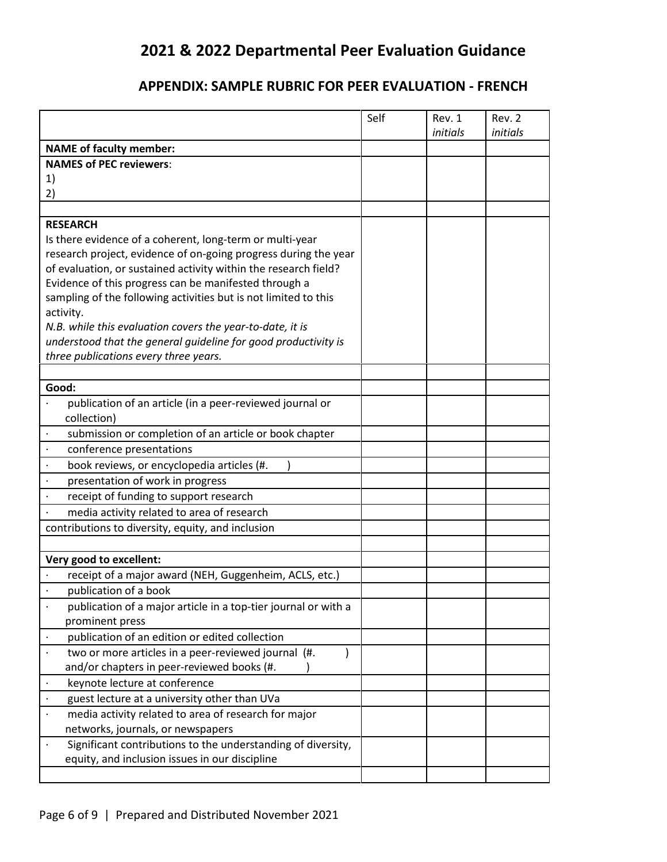## **APPENDIX: SAMPLE RUBRIC FOR PEER EVALUATION - FRENCH**

|                                                                                   | Self | Rev. 1   | Rev. 2   |
|-----------------------------------------------------------------------------------|------|----------|----------|
|                                                                                   |      | initials | initials |
| <b>NAME of faculty member:</b><br><b>NAMES of PEC reviewers:</b>                  |      |          |          |
| 1)                                                                                |      |          |          |
| 2)                                                                                |      |          |          |
|                                                                                   |      |          |          |
| <b>RESEARCH</b>                                                                   |      |          |          |
| Is there evidence of a coherent, long-term or multi-year                          |      |          |          |
| research project, evidence of on-going progress during the year                   |      |          |          |
| of evaluation, or sustained activity within the research field?                   |      |          |          |
| Evidence of this progress can be manifested through a                             |      |          |          |
| sampling of the following activities but is not limited to this                   |      |          |          |
| activity.                                                                         |      |          |          |
| N.B. while this evaluation covers the year-to-date, it is                         |      |          |          |
| understood that the general guideline for good productivity is                    |      |          |          |
| three publications every three years.                                             |      |          |          |
|                                                                                   |      |          |          |
| Good:                                                                             |      |          |          |
| publication of an article (in a peer-reviewed journal or                          |      |          |          |
| collection)                                                                       |      |          |          |
| submission or completion of an article or book chapter                            |      |          |          |
| conference presentations<br>$\blacksquare$                                        |      |          |          |
| $\bullet$<br>book reviews, or encyclopedia articles (#.                           |      |          |          |
| presentation of work in progress<br>$\ddot{\phantom{a}}$                          |      |          |          |
| receipt of funding to support research                                            |      |          |          |
| media activity related to area of research                                        |      |          |          |
| contributions to diversity, equity, and inclusion                                 |      |          |          |
|                                                                                   |      |          |          |
| Very good to excellent:                                                           |      |          |          |
| receipt of a major award (NEH, Guggenheim, ACLS, etc.)                            |      |          |          |
| publication of a book                                                             |      |          |          |
| publication of a major article in a top-tier journal or with a<br>prominent press |      |          |          |
| publication of an edition or edited collection<br>$\bullet$                       |      |          |          |
| two or more articles in a peer-reviewed journal (#.                               |      |          |          |
| and/or chapters in peer-reviewed books (#.                                        |      |          |          |
| keynote lecture at conference<br>$\bullet$                                        |      |          |          |
| guest lecture at a university other than UVa                                      |      |          |          |
| media activity related to area of research for major                              |      |          |          |
| networks, journals, or newspapers                                                 |      |          |          |
| Significant contributions to the understanding of diversity,                      |      |          |          |
| equity, and inclusion issues in our discipline                                    |      |          |          |
|                                                                                   |      |          |          |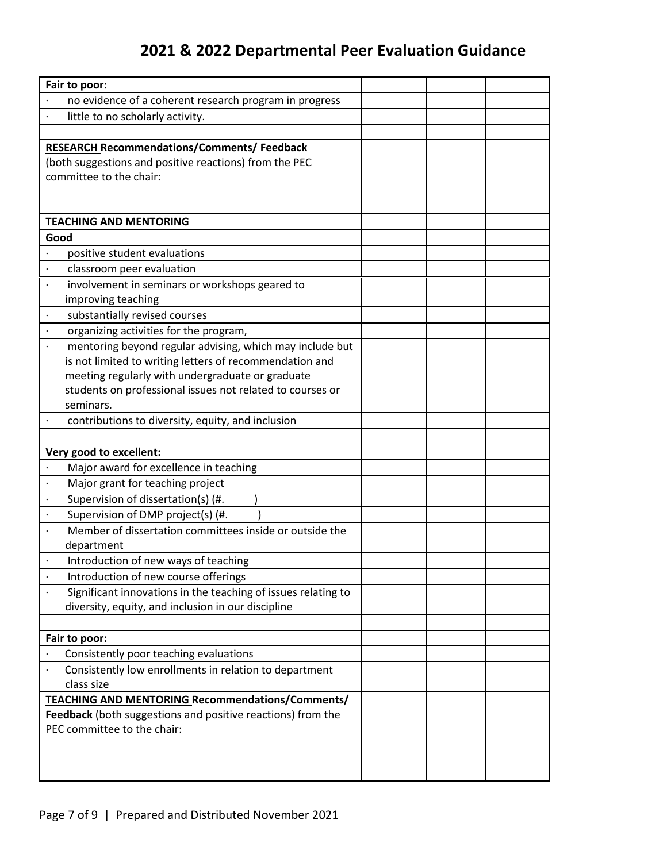| Fair to poor:                                                                                    |  |  |
|--------------------------------------------------------------------------------------------------|--|--|
| no evidence of a coherent research program in progress                                           |  |  |
| little to no scholarly activity.                                                                 |  |  |
|                                                                                                  |  |  |
| <b>RESEARCH Recommendations/Comments/ Feedback</b>                                               |  |  |
| (both suggestions and positive reactions) from the PEC                                           |  |  |
| committee to the chair:                                                                          |  |  |
|                                                                                                  |  |  |
|                                                                                                  |  |  |
| <b>TEACHING AND MENTORING</b>                                                                    |  |  |
| Good                                                                                             |  |  |
| positive student evaluations                                                                     |  |  |
| classroom peer evaluation                                                                        |  |  |
| involvement in seminars or workshops geared to                                                   |  |  |
| improving teaching                                                                               |  |  |
| substantially revised courses                                                                    |  |  |
| organizing activities for the program,                                                           |  |  |
| mentoring beyond regular advising, which may include but                                         |  |  |
| is not limited to writing letters of recommendation and                                          |  |  |
| meeting regularly with undergraduate or graduate                                                 |  |  |
| students on professional issues not related to courses or                                        |  |  |
| seminars.                                                                                        |  |  |
| contributions to diversity, equity, and inclusion                                                |  |  |
|                                                                                                  |  |  |
| Very good to excellent:                                                                          |  |  |
| Major award for excellence in teaching                                                           |  |  |
| Major grant for teaching project                                                                 |  |  |
| Supervision of dissertation(s) (#.                                                               |  |  |
| Supervision of DMP project(s) (#.                                                                |  |  |
| Member of dissertation committees inside or outside the                                          |  |  |
| department                                                                                       |  |  |
| Introduction of new ways of teaching                                                             |  |  |
| Introduction of new course offerings                                                             |  |  |
| Significant innovations in the teaching of issues relating to                                    |  |  |
| diversity, equity, and inclusion in our discipline                                               |  |  |
|                                                                                                  |  |  |
| Fair to poor:                                                                                    |  |  |
| Consistently poor teaching evaluations<br>Consistently low enrollments in relation to department |  |  |
| class size                                                                                       |  |  |
| TEACHING AND MENTORING Recommendations/Comments/                                                 |  |  |
| Feedback (both suggestions and positive reactions) from the                                      |  |  |
| PEC committee to the chair:                                                                      |  |  |
|                                                                                                  |  |  |
|                                                                                                  |  |  |
|                                                                                                  |  |  |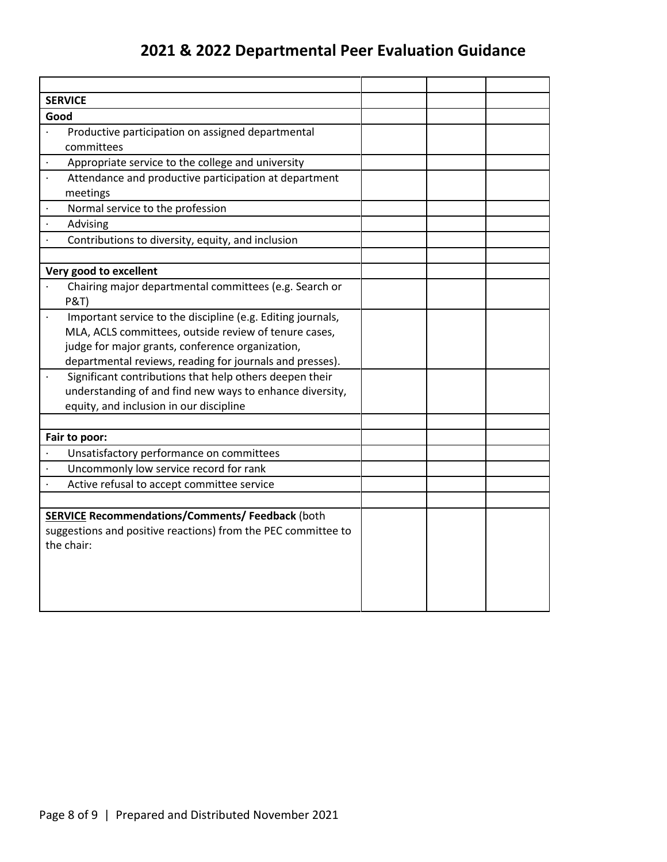| <b>SERVICE</b>                                                |  |  |
|---------------------------------------------------------------|--|--|
| Good                                                          |  |  |
| Productive participation on assigned departmental             |  |  |
| committees                                                    |  |  |
| Appropriate service to the college and university             |  |  |
| Attendance and productive participation at department         |  |  |
| meetings                                                      |  |  |
| Normal service to the profession                              |  |  |
| Advising                                                      |  |  |
| Contributions to diversity, equity, and inclusion             |  |  |
|                                                               |  |  |
| Very good to excellent                                        |  |  |
| Chairing major departmental committees (e.g. Search or        |  |  |
| <b>P&amp;T)</b>                                               |  |  |
| Important service to the discipline (e.g. Editing journals,   |  |  |
| MLA, ACLS committees, outside review of tenure cases,         |  |  |
| judge for major grants, conference organization,              |  |  |
| departmental reviews, reading for journals and presses).      |  |  |
| Significant contributions that help others deepen their       |  |  |
| understanding of and find new ways to enhance diversity,      |  |  |
| equity, and inclusion in our discipline                       |  |  |
|                                                               |  |  |
| Fair to poor:                                                 |  |  |
| Unsatisfactory performance on committees                      |  |  |
| Uncommonly low service record for rank                        |  |  |
| Active refusal to accept committee service                    |  |  |
|                                                               |  |  |
| <b>SERVICE Recommendations/Comments/ Feedback (both</b>       |  |  |
| suggestions and positive reactions) from the PEC committee to |  |  |
| the chair:                                                    |  |  |
|                                                               |  |  |
|                                                               |  |  |
|                                                               |  |  |
|                                                               |  |  |